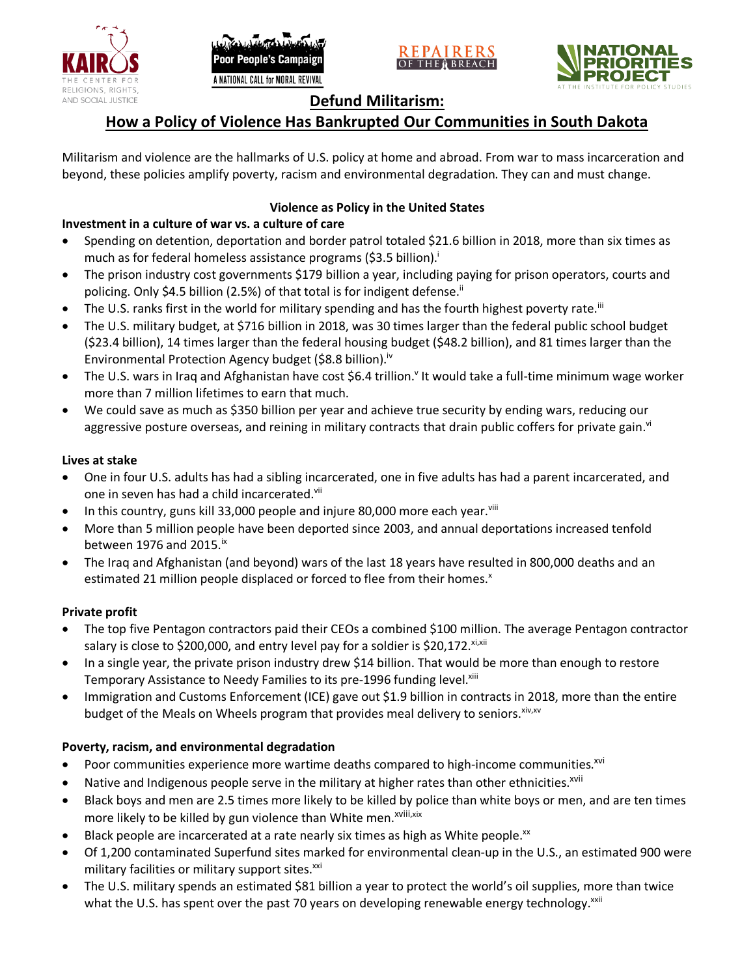





## **Defund Militarism:**

# **How a Policy of Violence Has Bankrupted Our Communities in South Dakota**

Militarism and violence are the hallmarks of U.S. policy at home and abroad. From war to mass incarceration and beyond, these policies amplify poverty, racism and environmental degradation. They can and must change.

## **Violence as Policy in the United States**

## **Investment in a culture of war vs. a culture of care**

- Spending on detention, deportation and border patrol totaled \$21.6 billion in 2018, more than six times as much as for federal homeless assistance programs (\$3.5 billion).<sup>i</sup>
- The prison industry cost governments \$179 billion a year, including paying for prison operators, courts and policing. Only \$4.5 billion (2.5%) of that total is for indigent defense.<sup>ii</sup>
- The U.S. ranks first in the world for military spending and has the fourth highest poverty rate.<sup>iii</sup>
- The U.S. military budget, at \$716 billion in 2018, was 30 times larger than the federal public school budget (\$23.4 billion), 14 times larger than the federal housing budget (\$48.2 billion), and 81 times larger than the Environmental Protection Agency budget (\$8.8 billion).<sup>iv</sup>
- The U.S. wars in Iraq and Afghanistan have cost \$6.4 trillion.<sup>v</sup> It would take a full-time minimum wage worker more than 7 million lifetimes to earn that much.
- We could save as much as \$350 billion per year and achieve true security by ending wars, reducing our aggressive posture overseas, and reining in military contracts that drain public coffers for private gain.<sup>vi</sup>

#### **Lives at stake**

- One in four U.S. adults has had a sibling incarcerated, one in five adults has had a parent incarcerated, and one in seven has had a child incarcerated.vii
- In this country, guns kill 33,000 people and injure 80,000 more each year. $v_{\text{lin}}$
- More than 5 million people have been deported since 2003, and annual deportations increased tenfold between 1976 and 2015. $\mathrm{i}$ <sup>x</sup>
- The Iraq and Afghanistan (and beyond) wars of the last 18 years have resulted in 800,000 deaths and an estimated 21 million people displaced or forced to flee from their homes.<sup>x</sup>

#### **Private profit**

- The top five Pentagon contractors paid their CEOs a combined \$100 million. The average Pentagon contractor salary is close to \$200,000, and entry level pay for a soldier is \$20,172. xi,xii
- In a single year, the private prison industry drew \$14 billion. That would be more than enough to restore Temporary Assistance to Needy Families to its pre-1996 funding level.<sup>xiii</sup>
- Immigration and Customs Enforcement (ICE) gave out \$1.9 billion in contracts in 2018, more than the entire budget of the Meals on Wheels program that provides meal delivery to seniors. Xiv, XV

#### **Poverty, racism, and environmental degradation**

- Poor communities experience more wartime deaths compared to high-income communities.<sup>xvi</sup>
- Native and Indigenous people serve in the military at higher rates than other ethnicities.<sup>xvii</sup>
- Black boys and men are 2.5 times more likely to be killed by police than white boys or men, and are ten times more likely to be killed by gun violence than White men.<sup>xviii,xix</sup>
- Black people are incarcerated at a rate nearly six times as high as White people.<sup>xx</sup>
- Of 1,200 contaminated Superfund sites marked for environmental clean-up in the U.S., an estimated 900 were military facilities or military support sites.<sup>xxi</sup>
- The U.S. military spends an estimated \$81 billion a year to protect the world's oil supplies, more than twice what the U.S. has spent over the past 70 years on developing renewable energy technology.<sup>xxii</sup>